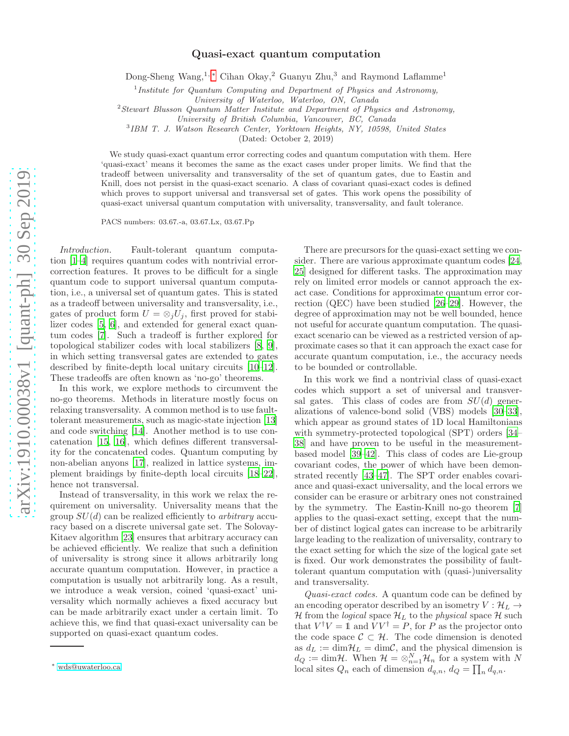# Quasi-exact quantum computation

Dong-Sheng Wang,<sup>1,[∗](#page-0-0)</sup> Cihan Okay,<sup>2</sup> Guanyu Zhu,<sup>3</sup> and Raymond Laflamme<sup>1</sup>

<sup>1</sup> Institute for Quantum Computing and Department of Physics and Astronomy,

*University of Waterloo, Waterloo, ON, Canada*

<sup>2</sup>*Stewart Blusson Quantum Matter Institute and Department of Physics and Astronomy,*

*University of British Columbia, Vancouver, BC, Canada*

3 *IBM T. J. Watson Research Center, Yorktown Heights, NY, 10598, United States*

(Dated: October 2, 2019)

We study quasi-exact quantum error correcting codes and quantum computation with them. Here 'quasi-exact' means it becomes the same as the exact cases under proper limits. We find that the tradeoff between universality and transversality of the set of quantum gates, due to Eastin and Knill, does not persist in the quasi-exact scenario. A class of covariant quasi-exact codes is defined which proves to support universal and transversal set of gates. This work opens the possibility of quasi-exact universal quantum computation with universality, transversality, and fault tolerance.

PACS numbers: 03.67.-a, 03.67.Lx, 03.67.Pp

Introduction. Fault-tolerant quantum computation [\[1](#page-8-0)[–4\]](#page-8-1) requires quantum codes with nontrivial errorcorrection features. It proves to be difficult for a single quantum code to support universal quantum computation, i.e., a universal set of quantum gates. This is stated as a tradeoff between universality and transversality, i.e., gates of product form  $U = \otimes_j U_j$ , first proved for stabilizer codes [\[5,](#page-8-2) [6\]](#page-8-3), and extended for general exact quantum codes [\[7](#page-8-4)]. Such a tradeoff is further explored for topological stabilizer codes with local stabilizers [\[8](#page-8-5), [9\]](#page-8-6), in which setting transversal gates are extended to gates described by finite-depth local unitary circuits [\[10](#page-8-7)[–12\]](#page-8-8). These tradeoffs are often known as 'no-go' theorems.

In this work, we explore methods to circumvent the no-go theorems. Methods in literature mostly focus on relaxing transversality. A common method is to use faulttolerant measurements, such as magic-state injection [\[13](#page-8-9)] and code switching [\[14\]](#page-8-10). Another method is to use concatenation [\[15,](#page-8-11) [16\]](#page-8-12), which defines different transversality for the concatenated codes. Quantum computing by non-abelian anyons [\[17\]](#page-8-13), realized in lattice systems, implement braidings by finite-depth local circuits [\[18](#page-8-14)[–22\]](#page-8-15), hence not transversal.

Instead of transversality, in this work we relax the requirement on universality. Universality means that the group  $SU(d)$  can be realized efficiently to *arbitrary* accuracy based on a discrete universal gate set. The Solovay-Kitaev algorithm [\[23\]](#page-8-16) ensures that arbitrary accuracy can be achieved efficiently. We realize that such a definition of universality is strong since it allows arbitrarily long accurate quantum computation. However, in practice a computation is usually not arbitrarily long. As a result, we introduce a weak version, coined 'quasi-exact' universality which normally achieves a fixed accuracy but can be made arbitrarily exact under a certain limit. To achieve this, we find that quasi-exact universality can be supported on quasi-exact quantum codes.

There are precursors for the quasi-exact setting we consider. There are various approximate quantum codes [\[24](#page-8-17), [25\]](#page-8-18) designed for different tasks. The approximation may rely on limited error models or cannot approach the exact case. Conditions for approximate quantum error correction (QEC) have been studied [\[26](#page-8-19)[–29\]](#page-8-20). However, the degree of approximation may not be well bounded, hence not useful for accurate quantum computation. The quasiexact scenario can be viewed as a restricted version of approximate cases so that it can approach the exact case for accurate quantum computation, i.e., the accuracy needs to be bounded or controllable.

In this work we find a nontrivial class of quasi-exact codes which support a set of universal and transversal gates. This class of codes are from  $SU(d)$  generalizations of valence-bond solid (VBS) models [\[30](#page-8-21)[–33\]](#page-8-22), which appear as ground states of 1D local Hamiltonians with symmetry-protected topological (SPT) orders [\[34](#page-8-23)– [38\]](#page-9-0) and have proven to be useful in the measurementbased model [\[39](#page-9-1)[–42\]](#page-9-2). This class of codes are Lie-group covariant codes, the power of which have been demonstrated recently [\[43](#page-9-3)[–47\]](#page-9-4). The SPT order enables covariance and quasi-exact universality, and the local errors we consider can be erasure or arbitrary ones not constrained by the symmetry. The Eastin-Knill no-go theorem [\[7](#page-8-4)] applies to the quasi-exact setting, except that the number of distinct logical gates can increase to be arbitrarily large leading to the realization of universality, contrary to the exact setting for which the size of the logical gate set is fixed. Our work demonstrates the possibility of faulttolerant quantum computation with (quasi-)universality and transversality.

Quasi-exact codes. A quantum code can be defined by an encoding operator described by an isometry  $V : \mathcal{H}_L \to$ H from the *logical* space  $\mathcal{H}_L$  to the *physical* space H such that  $V^{\dagger}V = \mathbb{1}$  and  $\overline{V}V^{\dagger} = P$ , for P as the projector onto the code space  $\mathcal{C} \subset \mathcal{H}$ . The code dimension is denoted as  $d_L := \dim \mathcal{H}_L = \dim \mathcal{C}$ , and the physical dimension is  $d_Q := \dim \mathcal{H}$ . When  $\mathcal{H} = \otimes_{n=1}^N \mathcal{H}_n$  for a system with N local sites  $Q_n$  each of dimension  $d_{q,n}$ ,  $d_Q = \prod_n d_{q,n}$ .

<span id="page-0-0"></span><sup>∗</sup> [wds@uwaterloo.ca](mailto:wds@uwaterloo.ca)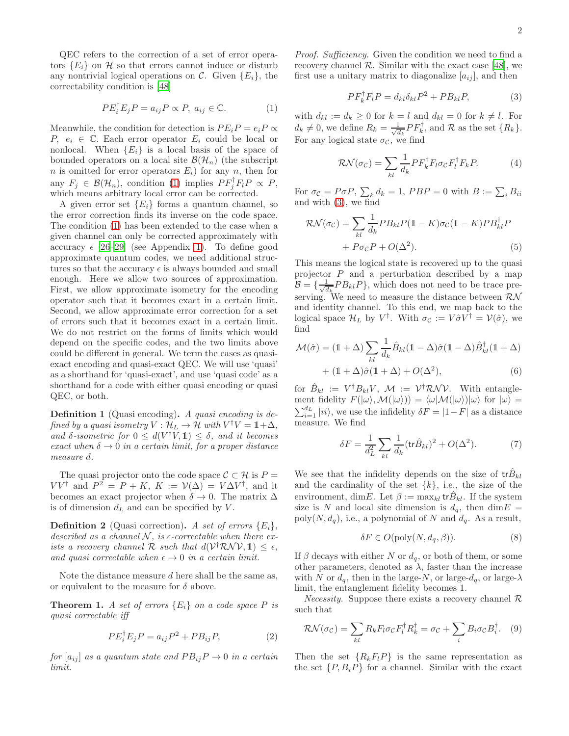QEC refers to the correction of a set of error operators  $\{E_i\}$  on H so that errors cannot induce or disturb any nontrivial logical operations on C. Given  $\{E_i\}$ , the correctability condition is [\[48\]](#page-9-5)

<span id="page-1-0"></span>
$$
PE_i^{\dagger} E_j P = a_{ij} P \propto P, \ a_{ij} \in \mathbb{C}.
$$
 (1)

Meanwhile, the condition for detection is  $PE_i P = e_i P \propto$ P,  $e_i \in \mathbb{C}$ . Each error operator  $E_i$  could be local or nonlocal. When  ${E_i}$  is a local basis of the space of bounded operators on a local site  $\mathcal{B}(\mathcal{H}_n)$  (the subscript n is omitted for error operators  $E_i$ ) for any n, then for any  $F_j \in \mathcal{B}(\mathcal{H}_n)$ , condition [\(1\)](#page-1-0) implies  $PF_j^{\dagger}F_lP \propto P$ , which means arbitrary local error can be corrected.

A given error set  ${E_i}$  forms a quantum channel, so the error correction finds its inverse on the code space. The condition [\(1\)](#page-1-0) has been extended to the case when a given channel can only be corrected approximately with accuracy  $\epsilon$  [\[26](#page-8-19)[–29](#page-8-20)] (see Appendix [1\)](#page-4-0). To define good approximate quantum codes, we need additional structures so that the accuracy  $\epsilon$  is always bounded and small enough. Here we allow two sources of approximation. First, we allow approximate isometry for the encoding operator such that it becomes exact in a certain limit. Second, we allow approximate error correction for a set of errors such that it becomes exact in a certain limit. We do not restrict on the forms of limits which would depend on the specific codes, and the two limits above could be different in general. We term the cases as quasiexact encoding and quasi-exact QEC. We will use 'quasi' as a shorthand for 'quasi-exact', and use 'quasi code' as a shorthand for a code with either quasi encoding or quasi QEC, or both.

Definition 1 (Quasi encoding). A quasi encoding is defined by a quasi isometry  $V : H_L \to \mathcal{H}$  with  $V^{\dagger}V = \mathbb{1} + \Delta$ , and  $\delta$ -isometric for  $0 \leq d(V^{\dagger}V, 1) \leq \delta$ , and it becomes exact when  $\delta \rightarrow 0$  in a certain limit, for a proper distance measure d.

The quasi projector onto the code space  $\mathcal{C} \subset \mathcal{H}$  is  $P =$  $VV^{\dagger}$  and  $P^2 = P + K$ ,  $K := V(\Delta) = V \Delta V^{\dagger}$ , and it becomes an exact projector when  $\delta \to 0$ . The matrix  $\Delta$ is of dimension  $d<sub>L</sub>$  and can be specified by V.

**Definition 2** (Quasi correction). A set of errors  $\{E_i\}$ , described as a channel  $N$ , is  $\epsilon$ -correctable when there exists a recovery channel  $\mathcal R$  such that  $d(\mathcal V^\dagger \mathcal R \mathcal N \mathcal V, \mathbb 1) \leq \epsilon$ , and quasi correctable when  $\epsilon \to 0$  in a certain limit.

Note the distance measure  $d$  here shall be the same as, or equivalent to the measure for  $\delta$  above.

<span id="page-1-4"></span>**Theorem 1.** A set of errors  ${E_i}$  on a code space P is quasi correctable iff

<span id="page-1-2"></span>
$$
PE_i^{\dagger} E_j P = a_{ij} P^2 + PB_{ij} P, \qquad (2)
$$

for  $[a_{ij}]$  as a quantum state and  $PB_{ij}P \rightarrow 0$  in a certain limit.

Proof. Sufficiency. Given the condition we need to find a recovery channel  $\mathcal R$ . Similar with the exact case [\[48\]](#page-9-5), we first use a unitary matrix to diagonalize  $[a_{ij}]$ , and then

<span id="page-1-1"></span>
$$
PF_k^{\dagger} F_l P = d_{kl} \delta_{kl} P^2 + PB_{kl} P, \tag{3}
$$

with  $d_{kl} := d_k \geq 0$  for  $k = l$  and  $d_{kl} = 0$  for  $k \neq l$ . For  $d_k \neq 0$ , we define  $R_k = \frac{1}{\sqrt{a}}$  $\frac{1}{d_k}PF_k^{\mathsf{T}}$ , and  $\mathcal{R}$  as the set  $\{R_k\}.$ For any logical state  $\sigma_{\mathcal{C}}$ , we find

$$
\mathcal{RN}(\sigma_{\mathcal{C}}) = \sum_{kl} \frac{1}{d_k} P F_k^{\dagger} F_l \sigma_{\mathcal{C}} F_l^{\dagger} F_k P. \tag{4}
$$

For  $\sigma_{\mathcal{C}} = P \sigma P$ ,  $\sum_{k} d_k = 1$ ,  $PBP = 0$  with  $B := \sum_{i} B_{ii}$ and with [\(3\)](#page-1-1), we find

$$
\mathcal{RN}(\sigma_{\mathcal{C}}) = \sum_{kl} \frac{1}{d_k} P B_{kl} P (1 - K) \sigma_{\mathcal{C}} (1 - K) P B_{kl}^{\dagger} P + P \sigma_{\mathcal{C}} P + O(\Delta^2).
$$
 (5)

This means the logical state is recovered up to the quasi projector  $P$  and a perturbation described by a map  $\mathcal{B}=\{\frac{1}{\sqrt{a}}% ,a_{\alpha}\}_{\alpha\in\mathbb{C}}\}$  $\frac{1}{d_k}PB_{kl}P\}$ , which does not need to be trace preserving. We need to measure the distance between  $\mathcal{RN}$ and identity channel. To this end, we map back to the logical space  $\mathcal{H}_L$  by  $V^{\dagger}$ . With  $\sigma_{\mathcal{C}} := V \hat{\sigma} V^{\dagger} = \mathcal{V}(\hat{\sigma})$ , we find

<span id="page-1-3"></span>
$$
\mathcal{M}(\hat{\sigma}) = (\mathbb{1} + \Delta) \sum_{kl} \frac{1}{d_k} \hat{B}_{kl} (\mathbb{1} - \Delta) \hat{\sigma} (\mathbb{1} - \Delta) \hat{B}_{kl}^{\dagger} (\mathbb{1} + \Delta)
$$

$$
+ (\mathbb{1} + \Delta) \hat{\sigma} (\mathbb{1} + \Delta) + O(\Delta^2), \tag{6}
$$

for  $\hat{B}_{kl} := V^{\dagger} B_{kl} V, \mathcal{M} := V^{\dagger} \mathcal{R} \mathcal{N} \mathcal{V}.$  With entanglement fidelity  $F(|\omega\rangle, \mathcal{M}(|\omega\rangle)) = \langle \omega|\mathcal{M}(|\omega\rangle)|\omega\rangle$  for  $|\omega\rangle =$  $\sum_{i=1}^{d_L} |ii\rangle$ , we use the infidelity  $\delta F = |1 - F|$  as a distance measure. We find

$$
\delta F = \frac{1}{d_L^2} \sum_{kl} \frac{1}{d_k} (\text{tr}\hat{B}_{kl})^2 + O(\Delta^2). \tag{7}
$$

We see that the infidelity depends on the size of  ${\rm tr} \hat{B}_{kl}$ and the cardinality of the set  $\{k\}$ , i.e., the size of the environment, dimE. Let  $\beta := \max_{kl} tr \hat{B}_{kl}$ . If the system size is N and local site dimension is  $d_q$ , then dim $E =$  $poly(N, d_q)$ , i.e., a polynomial of N and  $d_q$ . As a result,

$$
\delta F \in O(\text{poly}(N, d_q, \beta)).\tag{8}
$$

If  $\beta$  decays with either N or  $d_q$ , or both of them, or some other parameters, denoted as  $\lambda$ , faster than the increase with N or  $d_q$ , then in the large-N, or large- $d_q$ , or large- $\lambda$ limit, the entanglement fidelity becomes 1.

*Necessity*. Suppose there exists a recovery channel  $\mathcal{R}$ such that

$$
\mathcal{RN}(\sigma_{\mathcal{C}}) = \sum_{kl} R_k F_l \sigma_{\mathcal{C}} F_l^{\dagger} R_k^{\dagger} = \sigma_{\mathcal{C}} + \sum_i B_i \sigma_{\mathcal{C}} B_i^{\dagger}.
$$
 (9)

Then the set  $\{R_kF_lP\}$  is the same representation as the set  $\{P, B_i P\}$  for a channel. Similar with the exact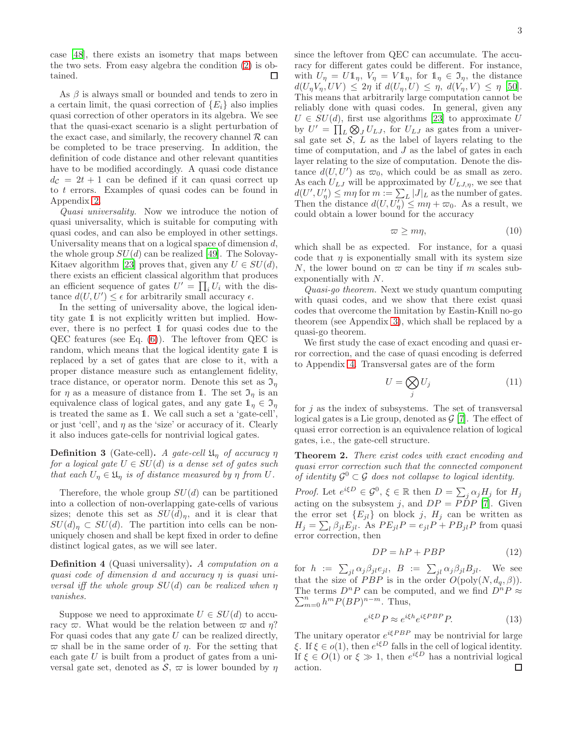case [\[48](#page-9-5)], there exists an isometry that maps between the two sets. From easy algebra the condition [\(2\)](#page-1-2) is obtained. □

As  $\beta$  is always small or bounded and tends to zero in a certain limit, the quasi correction of  ${E_i}$  also implies quasi correction of other operators in its algebra. We see that the quasi-exact scenario is a slight perturbation of the exact case, and similarly, the recovery channel  $\mathcal R$  can be completed to be trace preserving. In addition, the definition of code distance and other relevant quantities have to be modified accordingly. A quasi code distance  $d_{\mathcal{C}} = 2t + 1$  can be defined if it can quasi correct up to  $t$  errors. Examples of quasi codes can be found in Appendix [2.](#page-5-0)

Quasi universality. Now we introduce the notion of quasi universality, which is suitable for computing with quasi codes, and can also be employed in other settings. Universality means that on a logical space of dimension  $d$ , the whole group  $SU(d)$  can be realized [\[49\]](#page-9-6). The Solovay-Kitaev algorithm [\[23\]](#page-8-16) proves that, given any  $U \in SU(d)$ , there exists an efficient classical algorithm that produces an efficient sequence of gates  $U' = \prod_i U_i$  with the distance  $d(U, U') \leq \epsilon$  for arbitrarily small accuracy  $\epsilon$ .

In the setting of universality above, the logical identity gate 1 is not explicitly written but implied. However, there is no perfect 1 for quasi codes due to the QEC features (see Eq. [\(6\)](#page-1-3)). The leftover from QEC is random, which means that the logical identity gate 1 is replaced by a set of gates that are close to it, with a proper distance measure such as entanglement fidelity, trace distance, or operator norm. Denote this set as  $\mathfrak{I}_n$ for  $\eta$  as a measure of distance from 1. The set  $\mathfrak{I}_{\eta}$  is an equivalence class of logical gates, and any gate  $\mathbb{1}_{\eta} \in \mathfrak{I}_{\eta}$ is treated the same as 1. We call such a set a 'gate-cell', or just 'cell', and  $\eta$  as the 'size' or accuracy of it. Clearly it also induces gate-cells for nontrivial logical gates.

**Definition 3** (Gate-cell). A gate-cell  $\mathfrak{U}_\eta$  of accuracy  $\eta$ for a logical gate  $U \in SU(d)$  is a dense set of gates such that each  $U_{\eta} \in \mathfrak{U}_{\eta}$  is of distance measured by  $\eta$  from  $U$ .

Therefore, the whole group  $SU(d)$  can be partitioned into a collection of non-overlapping gate-cells of various sizes; denote this set as  $SU(d)_\eta$ , and it is clear that  $SU(d)_n \subset SU(d)$ . The partition into cells can be nonuniquely chosen and shall be kept fixed in order to define distinct logical gates, as we will see later.

Definition 4 (Quasi universality). A computation on a quasi code of dimension d and accuracy η is quasi universal iff the whole group  $SU(d)$  can be realized when  $\eta$ vanishes.

Suppose we need to approximate  $U \in SU(d)$  to accuracy  $\varpi$ . What would be the relation between  $\varpi$  and  $\eta$ ? For quasi codes that any gate  $U$  can be realized directly,  $\varpi$  shall be in the same order of  $\eta$ . For the setting that each gate  $U$  is built from a product of gates from a universal gate set, denoted as  $S$ ,  $\varpi$  is lower bounded by  $\eta$  since the leftover from QEC can accumulate. The accuracy for different gates could be different. For instance, with  $U_{\eta} = U \mathbb{1}_{\eta}, V_{\eta} = V \mathbb{1}_{\eta}$ , for  $\mathbb{1}_{\eta} \in \mathfrak{I}_{\eta}$ , the distance  $d(U_{\eta}V_{\eta},UV) \leq 2\eta$  if  $d(U_{\eta},U) \leq \eta$ ,  $d(V_{\eta},V) \leq \eta$  [\[50\]](#page-9-7). This means that arbitrarily large computation cannot be reliably done with quasi codes. In general, given any  $U \in SU(d)$ , first use algorithms [\[23](#page-8-16)] to approximate U by  $U' = \prod_L \bigotimes_J U_{LJ}$ , for  $U_{LJ}$  as gates from a universal gate set  $S$ ,  $L$  as the label of layers relating to the time of computation, and  $J$  as the label of gates in each layer relating to the size of computation. Denote the distance  $d(U, U')$  as  $\varpi_0$ , which could be as small as zero. As each  $U_{LJ}$  will be approximated by  $U_{LJ,\eta}$ , we see that  $d(U', U'_\eta) \leq m\eta$  for  $m := \sum_{L} |J|_L$  as the number of gates. Then the distance  $d(U, U'_\eta) \leq m\eta + \varpi_0$ . As a result, we could obtain a lower bound for the accuracy

$$
\varpi \ge m\eta,\tag{10}
$$

which shall be as expected. For instance, for a quasi code that  $\eta$  is exponentially small with its system size N, the lower bound on  $\varpi$  can be tiny if m scales subexponentially with N.

Quasi-go theorem. Next we study quantum computing with quasi codes, and we show that there exist quasi codes that overcome the limitation by Eastin-Knill no-go theorem (see Appendix [3\)](#page-6-0), which shall be replaced by a quasi-go theorem.

We first study the case of exact encoding and quasi error correction, and the case of quasi encoding is deferred to Appendix [4.](#page-6-1) Transversal gates are of the form

$$
U = \bigotimes_j U_j \tag{11}
$$

for  $j$  as the index of subsystems. The set of transversal logical gates is a Lie group, denoted as  $\mathcal{G}$  [\[7](#page-8-4)]. The effect of quasi error correction is an equivalence relation of logical gates, i.e., the gate-cell structure.

<span id="page-2-0"></span>Theorem 2. There exist codes with exact encoding and quasi error correction such that the connected component of identity  $\mathcal{G}^0 \subset \mathcal{G}$  does not collapse to logical identity.

*Proof.* Let  $e^{i\xi D} \in \mathcal{G}^0$ ,  $\xi \in \mathbb{R}$  then  $D = \sum_j \alpha_j H_j$  for  $H_j$ acting on the subsystem j, and  $DP = P\overline{D}P$  [\[7](#page-8-4)]. Given the error set  ${E_{jl}}$  on block j,  $H_j$  can be written as  $H_j = \sum_l \beta_{jl} E_{jl}$ . As  $PE_{jl}P = e_{jl}P + PB_{jl}P$  from quasi error correction, then

$$
DP = hP + PBP \tag{12}
$$

for  $h := \sum_{jl} \alpha_j \beta_{jl} e_{jl}$ ,  $B := \sum_{jl} \alpha_j \beta_{jl} B_{jl}$ . We see that the size of PBP is in the order  $O(poly(N, d_q, \beta)).$ The terms  $D^n P$  can be computed, and we find  $D^n P \approx \sum_{n=0}^{\infty}$  $\sum_{m=0}^{n} h^m P(BP)^{n-m}$ . Thus,

$$
e^{i\xi D}P \approx e^{i\xi h}e^{i\xi PBP}P.
$$
 (13)

The unitary operator  $e^{i\xi P B P}$  may be nontrivial for large  $\xi$ . If  $\xi \in o(1)$ , then  $e^{i\xi D}$  falls in the cell of logical identity. If  $\xi \in O(1)$  or  $\xi \gg 1$ , then  $e^{i\xi D}$  has a nontrivial logical action. $\Box$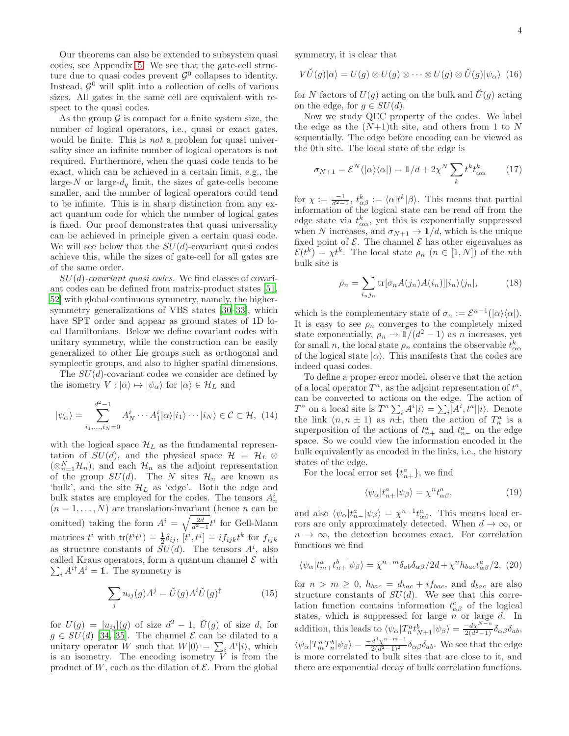Our theorems can also be extended to subsystem quasi codes, see Appendix [5.](#page-7-0) We see that the gate-cell structure due to quasi codes prevent  $\mathcal{G}^0$  collapses to identity. Instead,  $\mathcal{G}^0$  will split into a collection of cells of various sizes. All gates in the same cell are equivalent with respect to the quasi codes.

As the group  $\mathcal G$  is compact for a finite system size, the number of logical operators, i.e., quasi or exact gates, would be finite. This is *not* a problem for quasi universality since an infinite number of logical operators is not required. Furthermore, when the quasi code tends to be exact, which can be achieved in a certain limit, e.g., the large- $N$  or large- $d_q$  limit, the sizes of gate-cells become smaller, and the number of logical operators could tend to be infinite. This is in sharp distinction from any exact quantum code for which the number of logical gates is fixed. Our proof demonstrates that quasi universality can be achieved in principle given a certain quasi code. We will see below that the  $SU(d)$ -covariant quasi codes achieve this, while the sizes of gate-cell for all gates are of the same order.

 $SU(d)$ -covariant quasi codes. We find classes of covariant codes can be defined from matrix-product states [\[51](#page-9-8), [52\]](#page-9-9) with global continuous symmetry, namely, the highersymmetry generalizations of VBS states [\[30](#page-8-21)[–33\]](#page-8-22), which have SPT order and appear as ground states of 1D local Hamiltonians. Below we define covariant codes with unitary symmetry, while the construction can be easily generalized to other Lie groups such as orthogonal and symplectic groups, and also to higher spatial dimensions.

The  $SU(d)$ -covariant codes we consider are defined by the isometry  $V : |\alpha\rangle \mapsto |\psi_{\alpha}\rangle$  for  $|\alpha\rangle \in \mathcal{H}_L$  and

$$
|\psi_{\alpha}\rangle = \sum_{i_1,\dots,i_N=0}^{d^2-1} A_N^i \cdots A_1^i |\alpha\rangle |i_1\rangle \cdots |i_N\rangle \in \mathcal{C} \subset \mathcal{H}, \tag{14}
$$

with the logical space  $\mathcal{H}_L$  as the fundamental representation of  $SU(d)$ , and the physical space  $\mathcal{H} = \mathcal{H}_L \otimes$  $(\otimes_{n=1}^N \mathcal{H}_n)$ , and each  $\mathcal{H}_n$  as the adjoint representation of the group  $SU(d)$ . The N sites  $\mathcal{H}_n$  are known as 'bulk', and the site  $\mathcal{H}_L$  as 'edge'. Both the edge and bulk states are employed for the codes. The tensors  $A_n^i$  $(n = 1, \ldots, N)$  are translation-invariant (hence *n* can be omitted) taking the form  $A^i = \sqrt{\frac{2d}{d^2-1}}$  $\frac{2d}{d^2-1}t^i$  for Gell-Mann matrices  $t^i$  with  $\text{tr}(t^i t^j) = \frac{1}{2}\delta_{ij}$ ,  $[t^i, t^j] = i f_{ijk} t^k$  for  $f_{ijk}$ as structure constants of  $SU(d)$ . The tensors  $A<sup>i</sup>$ , also  $\sum_i A^{i\dagger} A^i = \mathbb{1}$ . The symmetry is called Kraus operators, form a quantum channel  $\mathcal E$  with

$$
\sum_{j} u_{ij}(g) A^{j} = \breve{U}(g) A^{i} \breve{U}(g)^{\dagger}
$$
 (15)

for  $U(g) = [u_{ij}](g)$  of size  $d^2 - 1$ ,  $U(g)$  of size d, for  $g \in SU(d)$  [\[34,](#page-8-23) [35](#page-8-24)]. The channel  $\mathcal E$  can be dilated to a unitary operator W such that  $W|0\rangle = \sum_i A^i|i\rangle$ , which is an isometry. The encoding isometry  $V$  is from the product of W, each as the dilation of  $\mathcal E$ . From the global symmetry, it is clear that

$$
V\breve{U}(g)|\alpha\rangle = U(g) \otimes U(g) \otimes \cdots \otimes U(g) \otimes \breve{U}(g)|\psi_{\alpha}\rangle \tag{16}
$$

for N factors of  $U(q)$  acting on the bulk and  $\tilde{U}(q)$  acting on the edge, for  $q \in SU(d)$ .

Now we study QEC property of the codes. We label the edge as the  $(N+1)$ <sup>th</sup> site, and others from 1 to N sequentially. The edge before encoding can be viewed as the 0th site. The local state of the edge is

$$
\sigma_{N+1} = \mathcal{E}^N(|\alpha\rangle\langle\alpha|) = 1/d + 2\chi^N \sum_k t^k t^k_{\alpha\alpha} \qquad (17)
$$

for  $\chi := \frac{-1}{d^2-1}$ ,  $t_{\alpha\beta}^k := \langle \alpha | t^k | \beta \rangle$ . This means that partial information of the logical state can be read off from the edge state via  $t_{\alpha\alpha}^k$ , yet this is exponentially suppressed when N increases, and  $\sigma_{N+1} \to \mathbb{1}/d$ , which is the unique fixed point of  $\mathcal E$ . The channel  $\mathcal E$  has other eigenvalues as  $\mathcal{E}(t^k) = \chi t^k$ . The local state  $\rho_n$   $(n \in [1, N])$  of the *n*th bulk site is

$$
\rho_n = \sum_{i_n j_n} \text{tr}[\sigma_n A(j_n) A(i_n)] |i_n\rangle \langle j_n|,
$$
\n(18)

which is the complementary state of  $\sigma_n := \mathcal{E}^{n-1}(|\alpha\rangle\langle\alpha|)$ . It is easy to see  $\rho_n$  converges to the completely mixed state exponentially,  $\rho_n \to \mathbb{1}/(d^2-1)$  as *n* increases, yet for small *n*, the local state  $\rho_n$  contains the observable  $t_{\alpha\alpha}^k$ of the logical state  $|\alpha\rangle$ . This manifests that the codes are indeed quasi codes.

To define a proper error model, observe that the action of a local operator  $T^a$ , as the adjoint representation of  $t^a$ , can be converted to actions on the edge. The action of  $T^a$  on a local site is  $T^a \sum_i A^i |i\rangle = \sum_i [A^i, t^a]|i\rangle$ . Denote the link  $(n, n \pm 1)$  as  $n \pm$ , then the action of  $T_n^a$  is a superposition of the actions of  $t_{n+}^a$  and  $t_{n-}^a$  on the edge space. So we could view the information encoded in the bulk equivalently as encoded in the links, i.e., the history states of the edge.

For the local error set  $\{t_{n+}^a\}$ , we find

<span id="page-3-0"></span>
$$
\langle \psi_{\alpha} | t_{n+}^{a} | \psi_{\beta} \rangle = \chi^{n} t_{\alpha \beta}^{a}, \qquad (19)
$$

and also  $\langle \psi_{\alpha} | t_{n-}^a | \psi_{\beta} \rangle = \chi^{n-1} t_{\alpha\beta}^a$ . This means local errors are only approximately detected. When  $d \to \infty$ , or  $n \to \infty$ , the detection becomes exact. For correlation functions we find

<span id="page-3-1"></span>
$$
\langle \psi_{\alpha} | t_{m+}^a t_{n+}^b | \psi_{\beta} \rangle = \chi^{n-m} \delta_{ab} \delta_{\alpha\beta} / 2d + \chi^n h_{bac} t_{\alpha\beta}^c / 2, (20)
$$

for  $n > m \geq 0$ ,  $h_{bac} = d_{bac} + i f_{bac}$ , and  $d_{bac}$  are also structure constants of  $SU(d)$ . We see that this correlation function contains information  $t_{\alpha\beta}^c$  of the logical states, which is suppressed for large  $n$  or large  $d$ . In addition, this leads to  $\langle \psi_\alpha | T_n^a t_{N+1}^b | \psi_\beta \rangle = \frac{-d \chi^{N-n}}{2(d^2-1)} \delta_{\alpha\beta} \delta_{ab}$ ,  $\langle \psi_\alpha | T_m^a T_n^b | \psi_\beta \rangle = \frac{-d^3 \chi^{n-m-1}}{2(d^2-1)^2} \delta_{\alpha\beta} \delta_{ab}$ . We see that the edge is more correlated to bulk sites that are close to it, and there are exponential decay of bulk correlation functions.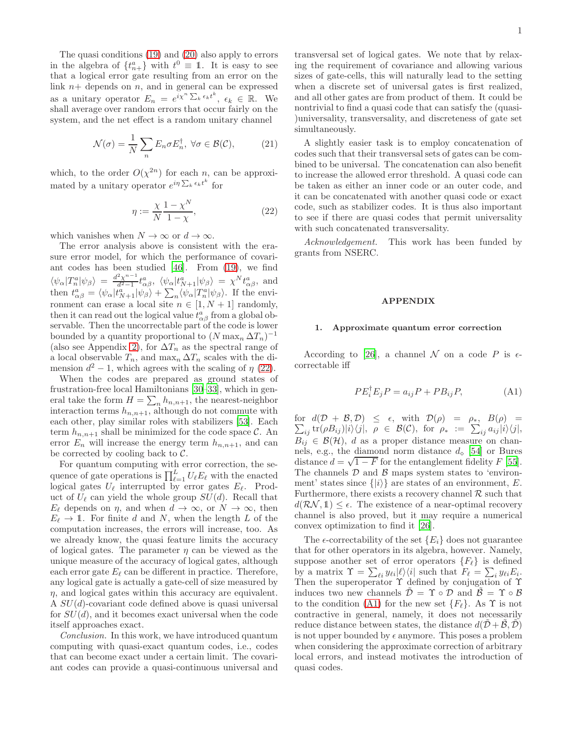The quasi conditions [\(19\)](#page-3-0) and [\(20\)](#page-3-1) also apply to errors in the algebra of  $\{t_{n+}^a\}$  with  $t^0 \equiv 1$ . It is easy to see that a logical error gate resulting from an error on the link  $n+$  depends on  $n$ , and in general can be expressed as a unitary operator  $E_n = e^{i\chi^n \sum_k \epsilon_k t^k}, \epsilon_k \in \mathbb{R}$ . We shall average over random errors that occur fairly on the system, and the net effect is a random unitary channel

$$
\mathcal{N}(\sigma) = \frac{1}{N} \sum_{n} E_n \sigma E_n^{\dagger}, \ \forall \sigma \in \mathcal{B}(\mathcal{C}), \tag{21}
$$

which, to the order  $O(\chi^{2n})$  for each n, can be approximated by a unitary operator  $e^{i\eta \sum_k \epsilon_k t^k}$  for

<span id="page-4-1"></span>
$$
\eta := \frac{\chi}{N} \frac{1 - \chi^N}{1 - \chi},\tag{22}
$$

which vanishes when  $N \to \infty$  or  $d \to \infty$ .

The error analysis above is consistent with the erasure error model, for which the performance of covariant codes has been studied [\[46\]](#page-9-10). From [\(19\)](#page-3-0), we find  $\langle \psi_\alpha | T_n^a | \psi_\beta \rangle = \frac{d^2 \chi^{n-1}}{d^2 - 1}$  $\frac{d^2\chi^{n-1}}{d^2-1}t^a_{\alpha\beta}, \ \langle\psi_\alpha|t^a_{N+1}|\psi_\beta\rangle = \chi^N t^a_{\alpha\beta}, \text{ and}$ then  $t^{a}_{\alpha\beta} = \langle \psi_{\alpha} | t^{a}_{N+1} | \psi_{\beta} \rangle + \sum_{n} \langle \psi_{\alpha} | T^{a}_{n} | \psi_{\beta} \rangle$ . If the environment can erase a local site  $n \in [1, N + 1]$  randomly, then it can read out the logical value  $t^{a}_{\alpha\beta}$  from a global observable. Then the uncorrectable part of the code is lower bounded by a quantity proportional to  $(N \max_{n} \Delta T_n)^{-1}$ (also see Appendix [2\)](#page-5-0), for  $\Delta T_n$  as the spectral range of a local observable  $T_n$ , and  $\max_n \Delta T_n$  scales with the dimension  $d^2 - 1$ , which agrees with the scaling of  $\eta$  [\(22\)](#page-4-1).

When the codes are prepared as ground states of frustration-free local Hamiltonians [\[30](#page-8-21)[–33\]](#page-8-22), which in general take the form  $H = \sum_{n} h_{n,n+1}$ , the nearest-neighbor interaction terms  $h_{n,n+1}$ , although do not commute with each other, play similar roles with stabilizers [\[53\]](#page-9-11). Each term  $h_{n,n+1}$  shall be minimized for the code space C. An error  $E_n$  will increase the energy term  $h_{n,n+1}$ , and can be corrected by cooling back to  $C$ .

For quantum computing with error correction, the sequence of gate operations is  $\prod_{\ell=1}^{L} U_{\ell} E_{\ell}$  with the enacted logical gates  $U_{\ell}$  interrupted by error gates  $E_{\ell}$ . Product of  $U_{\ell}$  can yield the whole group  $SU(d)$ . Recall that  $E_{\ell}$  depends on  $\eta$ , and when  $d \to \infty$ , or  $N \to \infty$ , then  $E_{\ell} \to \mathbb{1}$ . For finite d and N, when the length L of the computation increases, the errors will increase, too. As we already know, the quasi feature limits the accuracy of logical gates. The parameter  $\eta$  can be viewed as the unique measure of the accuracy of logical gates, although each error gate  $E_{\ell}$  can be different in practice. Therefore, any logical gate is actually a gate-cell of size measured by  $\eta$ , and logical gates within this accuracy are equivalent. A  $SU(d)$ -covariant code defined above is quasi universal for  $SU(d)$ , and it becomes exact universal when the code itself approaches exact.

Conclusion. In this work, we have introduced quantum computing with quasi-exact quantum codes, i.e., codes that can become exact under a certain limit. The covariant codes can provide a quasi-continuous universal and

transversal set of logical gates. We note that by relaxing the requirement of covariance and allowing various sizes of gate-cells, this will naturally lead to the setting when a discrete set of universal gates is first realized, and all other gates are from product of them. It could be nontrivial to find a quasi code that can satisfy the (quasi- )universality, transversality, and discreteness of gate set simultaneously.

A slightly easier task is to employ concatenation of codes such that their transversal sets of gates can be combined to be universal. The concatenation can also benefit to increase the allowed error threshold. A quasi code can be taken as either an inner code or an outer code, and it can be concatenated with another quasi code or exact code, such as stabilizer codes. It is thus also important to see if there are quasi codes that permit universality with such concatenated transversality.

Acknowledgement. This work has been funded by grants from NSERC.

#### APPENDIX

# <span id="page-4-0"></span>1. Approximate quantum error correction

According to [\[26](#page-8-19)], a channel N on a code P is  $\epsilon$ correctable iff

<span id="page-4-2"></span>
$$
PE_i^{\dagger} E_j P = a_{ij} P + PB_{ij} P, \tag{A1}
$$

for  $d(\mathcal{D} + \mathcal{B}, \mathcal{D}) \leq \epsilon$ , with  $\mathcal{D}(\rho) = \rho_*$ ,  $B(\rho) =$  $\sum_{ij}$ tr $(\rho B_{ij})|i\rangle\langle j|, \rho \in \mathcal{B}(\mathcal{C}),$  for  $\rho_* := \sum_{ij} a_{ij}|i\rangle\langle j|,$  $B_{ij} \in \mathcal{B}(\mathcal{H})$ , d as a proper distance measure on channels, e.g., the diamond norm distance  $d_0$  [\[54\]](#page-9-12) or Bures distance  $d = \sqrt{1 - F}$  for the entanglement fidelity  $F$  [\[55\]](#page-9-13). The channels  $D$  and  $B$  maps system states to 'environment' states since  $\{|i\rangle\}$  are states of an environment, E. Furthermore, there exists a recovery channel  $R$  such that  $d(\mathcal{RN}, \mathbb{1}) \leq \epsilon$ . The existence of a near-optimal recovery channel is also proved, but it may require a numerical convex optimization to find it [\[26\]](#page-8-19).

The  $\epsilon$ -correctability of the set  $\{E_i\}$  does not guarantee that for other operators in its algebra, however. Namely, suppose another set of error operators  ${F_{\ell}}$  is defined by a matrix  $\Upsilon = \sum_{\ell i} y_{\ell i} |\ell\rangle\langle i|$  such that  $F_{\ell} = \sum_{i} y_{\ell i} E_i$ . Then the superoperator Υ defined by conjugation of Υ induces two new channels  $\mathcal{D} = \Upsilon \circ \mathcal{D}$  and  $\mathcal{B} = \Upsilon \circ \mathcal{B}$ to the condition [\(A1\)](#page-4-2) for the new set  ${F_{\ell}}$ . As  $\Upsilon$  is not contractive in general, namely, it does not necessarily reduce distance between states, the distance  $d(\mathcal{D} + \mathcal{B}, \mathcal{D})$ is not upper bounded by  $\epsilon$  anymore. This poses a problem when considering the approximate correction of arbitrary local errors, and instead motivates the introduction of quasi codes.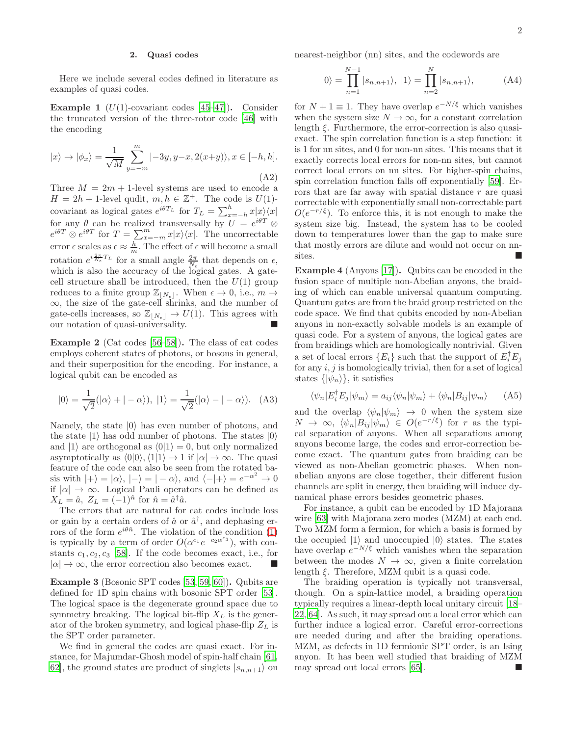# <span id="page-5-0"></span>2. Quasi codes

Here we include several codes defined in literature as examples of quasi codes.

**Example 1** ( $U(1)$ -covariant codes [\[45](#page-9-14)[–47\]](#page-9-4)). Consider the truncated version of the three-rotor code [\[46\]](#page-9-10) with the encoding

$$
|x\rangle \to |\phi_x\rangle = \frac{1}{\sqrt{M}} \sum_{y=-m}^{m} |-3y, y-x, 2(x+y)\rangle, x \in [-h, h].
$$
\n(A2)

Three  $M = 2m + 1$ -level systems are used to encode a  $H = 2h + 1$ -level qudit,  $m, h \in \mathbb{Z}^+$ . The code is  $U(1)$ covariant as logical gates  $e^{i\theta T_L}$  for  $T_L = \sum_{x=-h}^{h} x|x\rangle\langle x|$  $x=-h$ for any  $\theta$  can be realized transversally by  $U = e^{i\theta T} \otimes$  $e^{i\theta T} \otimes e^{i\theta T}$  for  $T = \sum_{x=-m}^{m} x|x\rangle\langle x|$ . The uncorrectable error  $\epsilon$  scales as  $\epsilon \approx \frac{h}{m}$ . The effect of  $\epsilon$  will become a small rotation  $e^{i\frac{2\pi}{N_{\epsilon}}T_L}$  for a small angle  $\frac{2\pi}{N_{\epsilon}}$  that depends on  $\epsilon$ , which is also the accuracy of the logical gates. A gatecell structure shall be introduced, then the  $U(1)$  group reduces to a finite group  $\mathbb{Z}_{|N_{\epsilon}|}$ . When  $\epsilon \to 0$ , i.e.,  $m \to$ ∞, the size of the gate-cell shrinks, and the number of gate-cells increases, so  $\mathbb{Z}_{[N_{\epsilon}]} \to U(1)$ . This agrees with our notation of quasi-universality.

Example 2 (Cat codes [\[56](#page-9-15)[–58\]](#page-9-16)). The class of cat codes employs coherent states of photons, or bosons in general, and their superposition for the encoding. For instance, a logical qubit can be encoded as

$$
|0\rangle = \frac{1}{\sqrt{2}}(|\alpha\rangle + |-\alpha\rangle), \ |1\rangle = \frac{1}{\sqrt{2}}(|\alpha\rangle - |-\alpha\rangle). \quad (A3)
$$

Namely, the state  $|0\rangle$  has even number of photons, and the state  $|1\rangle$  has odd number of photons. The states  $|0\rangle$ and  $|1\rangle$  are orthogonal as  $\langle 0|1\rangle = 0$ , but only normalized asymptotically as  $\langle 0|0\rangle$ ,  $\langle 1|1\rangle \rightarrow 1$  if  $|\alpha| \rightarrow \infty$ . The quasi feature of the code can also be seen from the rotated basis with  $|+\rangle = |\alpha\rangle, |-\rangle = |-\alpha\rangle$ , and  $\langle -|+\rangle = e^{-\alpha^2} \to 0$ if  $|\alpha| \to \infty$ . Logical Pauli operators can be defined as  $X_L = \hat{a}, Z_L = (-1)^{\hat{n}}$  for  $\hat{n} = \hat{a}^\dagger \hat{a}.$ 

The errors that are natural for cat codes include loss or gain by a certain orders of  $\hat{a}$  or  $\hat{a}^{\dagger}$ , and dephasing errors of the form  $e^{i\theta\hat{n}}$ . The violation of the condition [\(1\)](#page-1-0) is typically by a term of order  $O(\alpha^{c_1}e^{-c_2\alpha^{c_3}})$ , with constants  $c_1, c_2, c_3$  [\[58](#page-9-16)]. If the code becomes exact, i.e., for  $|\alpha| \to \infty$ , the error correction also becomes exact.

Example 3 (Bosonic SPT codes [\[53,](#page-9-11) [59,](#page-9-17) [60\]](#page-9-18)). Qubits are defined for 1D spin chains with bosonic SPT order [\[53\]](#page-9-11). The logical space is the degenerate ground space due to symmetry breaking. The logical bit-flip  $X_L$  is the generator of the broken symmetry, and logical phase-flip  $Z_L$  is the SPT order parameter.

We find in general the codes are quasi exact. For instance, for Majumdar-Ghosh model of spin-half chain [\[61](#page-9-19), 62, the ground states are product of singlets  $|s_{n,n+1}\rangle$  on nearest-neighbor (nn) sites, and the codewords are

$$
|0\rangle = \prod_{n=1}^{N-1} |s_{n,n+1}\rangle, |1\rangle = \prod_{n=2}^{N} |s_{n,n+1}\rangle,
$$
 (A4)

for  $N + 1 \equiv 1$ . They have overlap  $e^{-N/\xi}$  which vanishes when the system size  $N \to \infty$ , for a constant correlation length  $\xi$ . Furthermore, the error-correction is also quasiexact. The spin correlation function is a step function: it is 1 for nn sites, and 0 for non-nn sites. This means that it exactly corrects local errors for non-nn sites, but cannot correct local errors on nn sites. For higher-spin chains, spin correlation function falls off exponentially [\[59\]](#page-9-17). Errors that are far away with spatial distance r are quasi correctable with exponentially small non-correctable part  $O(e^{-r/\xi})$ . To enforce this, it is not enough to make the system size big. Instead, the system has to be cooled down to temperatures lower than the gap to make sure that mostly errors are dilute and would not occur on nnsites.

Example 4 (Anyons [\[17\]](#page-8-13)). Qubits can be encoded in the fusion space of multiple non-Abelian anyons, the braiding of which can enable universal quantum computing. Quantum gates are from the braid group restricted on the code space. We find that qubits encoded by non-Abelian anyons in non-exactly solvable models is an example of quasi code. For a system of anyons, the logical gates are from braidings which are homologically nontrivial. Given a set of local errors  $\{E_i\}$  such that the support of  $E_i^{\dagger} E_j$ for any  $i, j$  is homologically trivial, then for a set of logical states  $\{|\psi_n\rangle\}$ , it satisfies

$$
\langle \psi_n | E_i^{\dagger} E_j | \psi_m \rangle = a_{ij} \langle \psi_n | \psi_m \rangle + \langle \psi_n | B_{ij} | \psi_m \rangle \qquad (A5)
$$

and the overlap  $\langle \psi_n | \psi_m \rangle \rightarrow 0$  when the system size  $N \to \infty$ ,  $\langle \psi_n | B_{ij} | \psi_m \rangle \in O(e^{-r/\xi})$  for r as the typical separation of anyons. When all separations among anyons become large, the codes and error-correction become exact. The quantum gates from braiding can be viewed as non-Abelian geometric phases. When nonabelian anyons are close together, their different fusion channels are split in energy, then braiding will induce dynamical phase errors besides geometric phases.

For instance, a qubit can be encoded by 1D Majorana wire [\[63](#page-9-21)] with Majorana zero modes (MZM) at each end. Two MZM form a fermion, for which a basis is formed by the occupied  $|1\rangle$  and unoccupied  $|0\rangle$  states. The states have overlap  $e^{-N/\xi}$  which vanishes when the separation between the modes  $N \to \infty$ , given a finite correlation length  $\xi$ . Therefore, MZM qubit is a quasi code.

The braiding operation is typically not transversal, though. On a spin-lattice model, a braiding operation typically requires a linear-depth local unitary circuit [\[18](#page-8-14)– [22](#page-8-15), [64](#page-9-22)]. As such, it may spread out a local error which can further induce a logical error. Careful error-corrections are needed during and after the braiding operations. MZM, as defects in 1D fermionic SPT order, is an Ising anyon. It has been well studied that braiding of MZM may spread out local errors [\[65\]](#page-9-23).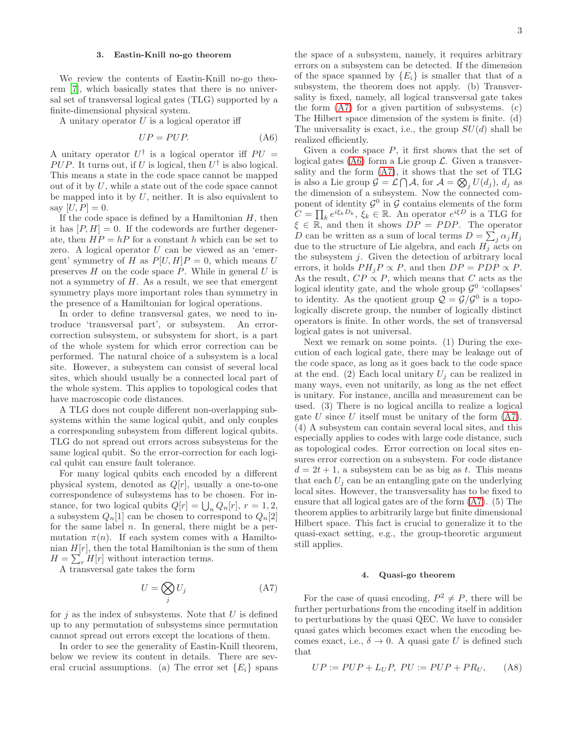# <span id="page-6-0"></span>3. Eastin-Knill no-go theorem

We review the contents of Eastin-Knill no-go theorem [\[7\]](#page-8-4), which basically states that there is no universal set of transversal logical gates (TLG) supported by a finite-dimensional physical system.

A unitary operator  $U$  is a logical operator iff

<span id="page-6-3"></span>
$$
UP = PUP.
$$
 (A6)

A unitary operator  $U^{\dagger}$  is a logical operator iff  $PU =$ PUP. It turns out, if U is logical, then  $U^{\dagger}$  is also logical. This means a state in the code space cannot be mapped out of it by U, while a state out of the code space cannot be mapped into it by  $U$ , neither. It is also equivalent to say  $[U, P] = 0$ .

If the code space is defined by a Hamiltonian  $H$ , then it has  $[P, H] = 0$ . If the codewords are further degenerate, then  $HP = hP$  for a constant h which can be set to zero. A logical operator  $U$  can be viewed as an 'emergent' symmetry of H as  $P[U, H]P = 0$ , which means U preserves  $H$  on the code space  $P$ . While in general  $U$  is not a symmetry of  $H$ . As a result, we see that emergent symmetry plays more important roles than symmetry in the presence of a Hamiltonian for logical operations.

In order to define transversal gates, we need to introduce 'transversal part', or subsystem. An errorcorrection subsystem, or subsystem for short, is a part of the whole system for which error correction can be performed. The natural choice of a subsystem is a local site. However, a subsystem can consist of several local sites, which should usually be a connected local part of the whole system. This applies to topological codes that have macroscopic code distances.

A TLG does not couple different non-overlapping subsystems within the same logical qubit, and only couples a corresponding subsystem from different logical qubits. TLG do not spread out errors across subsystems for the same logical qubit. So the error-correction for each logical qubit can ensure fault tolerance.

For many logical qubits each encoded by a different physical system, denoted as  $Q[r]$ , usually a one-to-one correspondence of subsystems has to be chosen. For instance, for two logical qubits  $Q[r] = \bigcup_n Q_n[r]$ ,  $r = 1, 2$ , a subsystem  $Q_n[1]$  can be chosen to correspond to  $Q_n[2]$ for the same label  $n$ . In general, there might be a permutation  $\pi(n)$ . If each system comes with a Hamiltonian  $H[r]$ , then the total Hamiltonian is the sum of them  $H = \sum_r H[r]$  without interaction terms.

A transversal gate takes the form

<span id="page-6-2"></span>
$$
U = \bigotimes_j U_j \tag{A7}
$$

for  $j$  as the index of subsystems. Note that  $U$  is defined up to any permutation of subsystems since permutation cannot spread out errors except the locations of them.

In order to see the generality of Eastin-Knill theorem, below we review its content in details. There are several crucial assumptions. (a) The error set  $\{E_i\}$  spans

the space of a subsystem, namely, it requires arbitrary errors on a subsystem can be detected. If the dimension of the space spanned by  ${E_i}$  is smaller that that of a subsystem, the theorem does not apply. (b) Transversality is fixed, namely, all logical transversal gate takes the form [\(A7\)](#page-6-2) for a given partition of subsystems. (c) The Hilbert space dimension of the system is finite. (d) The universality is exact, i.e., the group  $SU(d)$  shall be realized efficiently.

Given a code space  $P$ , it first shows that the set of logical gates [\(A6\)](#page-6-3) form a Lie group  $\mathcal{L}$ . Given a transversality and the form [\(A7\)](#page-6-2), it shows that the set of TLG is also a Lie group  $\mathcal{G} = \mathcal{L} \bigcap \mathcal{A}$ , for  $\mathcal{A} = \bigotimes_j U(d_j)$ ,  $d_j$  as the dimension of a subsystem. Now the connected component of identity  $\mathcal{G}^0$  in  $\mathcal G$  contains elements of the form  $C = \prod_k e^{i\xi_k D_k}, \, \xi_k \in \mathbb{R}$ . An operator  $e^{i\xi D}$  is a TLG for  $\xi \in \mathbb{R}$ , and then it shows  $DP = PDP$ . The operator D can be written as a sum of local terms  $D = \sum_j \alpha_j H_j$ due to the structure of Lie algebra, and each  $H_i$  acts on the subsystem j. Given the detection of arbitrary local errors, it holds  $PH_iP \propto P$ , and then  $DP = PDP \propto P$ . As the result,  $CP \propto P$ , which means that C acts as the logical identity gate, and the whole group  $\mathcal{G}^0$  'collapses' to identity. As the quotient group  $\mathcal{Q} = \mathcal{G}/\mathcal{G}^0$  is a topologically discrete group, the number of logically distinct operators is finite. In other words, the set of transversal logical gates is not universal.

Next we remark on some points. (1) During the execution of each logical gate, there may be leakage out of the code space, as long as it goes back to the code space at the end. (2) Each local unitary  $U_i$  can be realized in many ways, even not unitarily, as long as the net effect is unitary. For instance, ancilla and measurement can be used. (3) There is no logical ancilla to realize a logical gate U since U itself must be unitary of the form  $(A7)$ . (4) A subsystem can contain several local sites, and this especially applies to codes with large code distance, such as topological codes. Error correction on local sites ensures error correction on a subsystem. For code distance  $d = 2t + 1$ , a subsystem can be as big as t. This means that each  $U_i$  can be an entangling gate on the underlying local sites. However, the transversality has to be fixed to ensure that all logical gates are of the form [\(A7\)](#page-6-2). (5) The theorem applies to arbitrarily large but finite dimensional Hilbert space. This fact is crucial to generalize it to the quasi-exact setting, e.g., the group-theoretic argument still applies.

# <span id="page-6-1"></span>4. Quasi-go theorem

For the case of quasi encoding,  $P^2 \neq P$ , there will be further perturbations from the encoding itself in addition to perturbations by the quasi QEC. We have to consider quasi gates which becomes exact when the encoding becomes exact, i.e.,  $\delta \to 0$ . A quasi gate U is defined such that

$$
UP := PUP + L_UP, \; PU := PUP + PR_U, \qquad (A8)
$$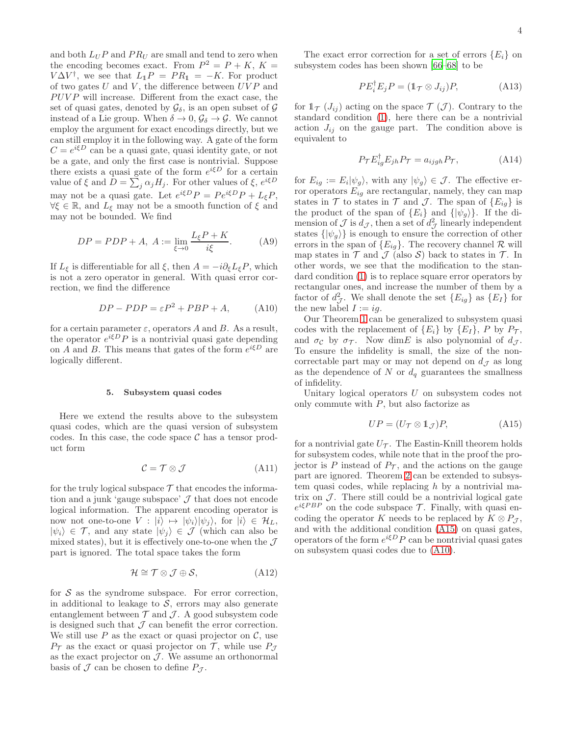and both  $L_U P$  and  $PR_U$  are small and tend to zero when the encoding becomes exact. From  $P^2 = P + K$ ,  $K =$  $V\Delta V^{\dagger}$ , we see that  $L_1P = PR_1 = -K$ . For product of two gates U and V, the difference between  $\overline{U} \overline{V} P$  and  $PUVP$  will increase. Different from the exact case, the set of quasi gates, denoted by  $\mathcal{G}_{\delta}$ , is an open subset of  $\mathcal{G}$ instead of a Lie group. When  $\delta \to 0$ ,  $\mathcal{G}_{\delta} \to \mathcal{G}$ . We cannot employ the argument for exact encodings directly, but we can still employ it in the following way. A gate of the form  $C = e^{i\xi D}$  can be a quasi gate, quasi identity gate, or not be a gate, and only the first case is nontrivial. Suppose there exists a quasi gate of the form  $e^{i\xi D}$  for a certain value of  $\xi$  and  $D = \sum_j \alpha_j H_j$ . For other values of  $\xi$ ,  $e^{i\xi D}$ may not be a quasi gate. Let  $e^{i\xi D}P = Pe^{i\xi D}P + L_{\xi}P$ ,  $\forall \xi \in \mathbb{R}$ , and  $L_{\xi}$  may not be a smooth function of  $\xi$  and may not be bounded. We find

$$
DP = PDP + A, A := \lim_{\xi \to 0} \frac{L_{\xi}P + K}{i\xi}.
$$
 (A9)

If  $L_{\xi}$  is differentiable for all  $\xi$ , then  $A = -i\partial_{\xi}L_{\xi}P$ , which is not a zero operator in general. With quasi error correction, we find the difference

<span id="page-7-2"></span>
$$
DP - PDP = \varepsilon P^2 + PBP + A,\tag{A10}
$$

for a certain parameter  $\varepsilon$ , operators A and B. As a result, the operator  $e^{i\xi D}P$  is a nontrivial quasi gate depending on A and B. This means that gates of the form  $e^{i\xi D}$  are logically different.

# <span id="page-7-0"></span>5. Subsystem quasi codes

Here we extend the results above to the subsystem quasi codes, which are the quasi version of subsystem codes. In this case, the code space  $\mathcal C$  has a tensor product form

$$
\mathcal{C} = \mathcal{T} \otimes \mathcal{J} \tag{A11}
$$

for the truly logical subspace  $\mathcal T$  that encodes the information and a junk 'gauge subspace'  $J$  that does not encode logical information. The apparent encoding operator is now not one-to-one  $V : |i\rangle \mapsto |\psi_i\rangle |\psi_j\rangle$ , for  $|i\rangle \in \mathcal{H}_L$ ,  $|\psi_i\rangle \in \mathcal{T}$ , and any state  $|\psi_j\rangle \in \mathcal{J}$  (which can also be mixed states), but it is effectively one-to-one when the  $\mathcal{J}$ part is ignored. The total space takes the form

$$
\mathcal{H} \cong \mathcal{T} \otimes \mathcal{J} \oplus \mathcal{S},\tag{A12}
$$

for  $S$  as the syndrome subspace. For error correction, in additional to leakage to  $S$ , errors may also generate entanglement between  $\mathcal T$  and  $\mathcal J$ . A good subsystem code is designed such that  $\mathcal J$  can benefit the error correction. We still use  $P$  as the exact or quasi projector on  $\mathcal{C}$ , use  $P_{\mathcal{T}}$  as the exact or quasi projector on  $\mathcal{T}$ , while use  $P_{\mathcal{T}}$ as the exact projector on  $J$ . We assume an orthonormal basis of  $\mathcal J$  can be chosen to define  $P_{\mathcal J}$ .

The exact error correction for a set of errors  ${E_i}$  on subsystem codes has been shown [\[66](#page-9-24)[–68](#page-9-25)] to be

$$
PE_i^{\dagger} E_j P = (\mathbb{1}_{\mathcal{T}} \otimes J_{ij}) P, \tag{A13}
$$

for  $\mathbb{1}_{\mathcal{T}}(J_{ij})$  acting on the space  $\mathcal{T}(\mathcal{J})$ . Contrary to the standard condition [\(1\)](#page-1-0), here there can be a nontrivial action  $J_{ij}$  on the gauge part. The condition above is equivalent to

$$
P_{\mathcal{T}} E_{ig}^{\dagger} E_{jh} P_{\mathcal{T}} = a_{ijgh} P_{\mathcal{T}}, \tag{A14}
$$

for  $E_{ig} := E_i |\psi_g\rangle$ , with any  $|\psi_g\rangle \in \mathcal{J}$ . The effective error operators  $E_{ig}$  are rectangular, namely, they can map states in  $\mathcal T$  to states in  $\mathcal T$  and  $\mathcal J$ . The span of  $\{E_{ig}\}\$ is the product of the span of  $\{E_i\}$  and  $\{\ket{\psi_q}\}.$  If the dimension of  $\mathcal J$  is  $d_{\mathcal J}$ , then a set of  $d_{\mathcal J}^2$  linearly independent states  $\{|\psi_g\rangle\}$  is enough to ensure the correction of other errors in the span of  ${E_{ig}}$ . The recovery channel R will map states in  $\mathcal T$  and  $\mathcal J$  (also  $\mathcal S$ ) back to states in  $\mathcal T$ . In other words, we see that the modification to the standard condition [\(1\)](#page-1-0) is to replace square error operators by rectangular ones, and increase the number of them by a factor of  $d^2_{\mathcal{J}}$ . We shall denote the set  $\{E_{ig}\}\$ as  $\{E_I\}$  for the new label  $I := ig$ .

Our Theorem [1](#page-1-4) can be generalized to subsystem quasi codes with the replacement of  $\{E_i\}$  by  $\{E_I\}$ , P by  $P_{\mathcal{T}}$ , and  $\sigma_c$  by  $\sigma_{\mathcal{T}}$ . Now dimE is also polynomial of  $d_{\mathcal{T}}$ . To ensure the infidelity is small, the size of the noncorrectable part may or may not depend on  $d_{\mathcal{J}}$  as long as the dependence of N or  $d_q$  guarantees the smallness of infidelity.

Unitary logical operators U on subsystem codes not only commute with  $P$ , but also factorize as

<span id="page-7-1"></span>
$$
UP = (U_T \otimes \mathbb{1}_{\mathcal{J}})P, \tag{A15}
$$

for a nontrivial gate  $U_{\tau}$ . The Eastin-Knill theorem holds for subsystem codes, while note that in the proof the projector is P instead of  $P_{\mathcal{T}}$ , and the actions on the gauge part are ignored. Theorem [2](#page-2-0) can be extended to subsystem quasi codes, while replacing  $h$  by a nontrivial matrix on  $\mathcal{J}$ . There still could be a nontrivial logical gate  $e^{i\xi PBP}$  on the code subspace  $\mathcal{T}$ . Finally, with quasi encoding the operator K needs to be replaced by  $K \otimes P_{\mathcal{J}}$ , and with the additional condition [\(A15\)](#page-7-1) on quasi gates, operators of the form  $e^{i\xi D} P$  can be nontrivial quasi gates on subsystem quasi codes due to [\(A10\)](#page-7-2).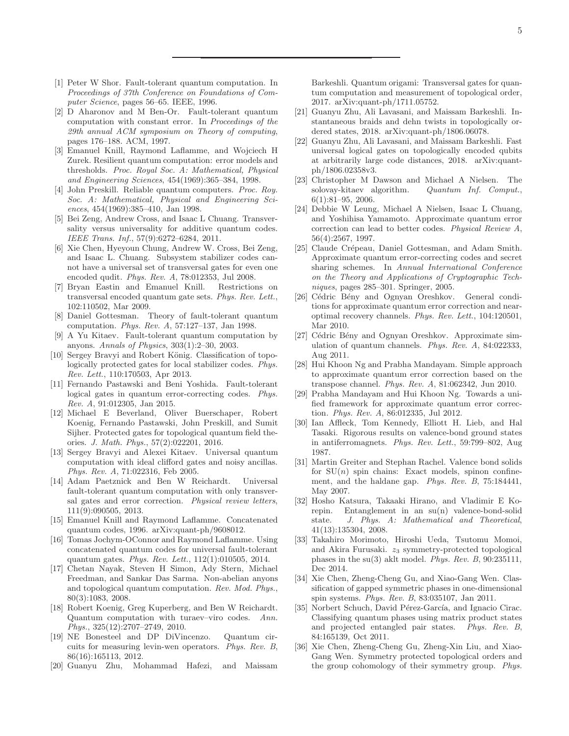- <span id="page-8-0"></span>[1] Peter W Shor. Fault-tolerant quantum computation. In *Proceedings of 37th Conference on Foundations of Computer Science*, pages 56–65. IEEE, 1996.
- [2] D Aharonov and M Ben-Or. Fault-tolerant quantum computation with constant error. In *Proceedings of the 29th annual ACM symposium on Theory of computing*, pages 176–188. ACM, 1997.
- [3] Emanuel Knill, Raymond Laflamme, and Wojciech H Zurek. Resilient quantum computation: error models and thresholds. *Proc. Royal Soc. A: Mathematical, Physical and Engineering Sciences*, 454(1969):365–384, 1998.
- <span id="page-8-1"></span>[4] John Preskill. Reliable quantum computers. *Proc. Roy. Soc. A: Mathematical, Physical and Engineering Sciences*, 454(1969):385–410, Jan 1998.
- <span id="page-8-2"></span>[5] Bei Zeng, Andrew Cross, and Isaac L Chuang. Transversality versus universality for additive quantum codes. *IEEE Trans. Inf.*, 57(9):6272–6284, 2011.
- <span id="page-8-3"></span>[6] Xie Chen, Hyeyoun Chung, Andrew W. Cross, Bei Zeng, and Isaac L. Chuang. Subsystem stabilizer codes cannot have a universal set of transversal gates for even one encoded qudit. *Phys. Rev. A*, 78:012353, Jul 2008.
- <span id="page-8-4"></span>[7] Bryan Eastin and Emanuel Knill. Restrictions on transversal encoded quantum gate sets. *Phys. Rev. Lett.*, 102:110502, Mar 2009.
- <span id="page-8-5"></span>[8] Daniel Gottesman. Theory of fault-tolerant quantum computation. *Phys. Rev. A*, 57:127–137, Jan 1998.
- <span id="page-8-6"></span>[9] A Yu Kitaev. Fault-tolerant quantum computation by anyons. *Annals of Physics*, 303(1):2–30, 2003.
- <span id="page-8-7"></span>[10] Sergey Bravyi and Robert König. Classification of topologically protected gates for local stabilizer codes. *Phys. Rev. Lett.*, 110:170503, Apr 2013.
- [11] Fernando Pastawski and Beni Yoshida. Fault-tolerant logical gates in quantum error-correcting codes. *Phys. Rev. A*, 91:012305, Jan 2015.
- <span id="page-8-8"></span>[12] Michael E Beverland, Oliver Buerschaper, Robert Koenig, Fernando Pastawski, John Preskill, and Sumit Sijher. Protected gates for topological quantum field theories. *J. Math. Phys.*, 57(2):022201, 2016.
- <span id="page-8-9"></span>[13] Sergey Bravyi and Alexei Kitaev. Universal quantum computation with ideal clifford gates and noisy ancillas. *Phys. Rev. A*, 71:022316, Feb 2005.
- <span id="page-8-10"></span>[14] Adam Paetznick and Ben W Reichardt. Universal fault-tolerant quantum computation with only transversal gates and error correction. *Physical review letters*, 111(9):090505, 2013.
- <span id="page-8-11"></span>[15] Emanuel Knill and Raymond Laflamme. Concatenated quantum codes, 1996. arXiv:quant-ph/9608012.
- <span id="page-8-12"></span>[16] Tomas Jochym-OConnor and Raymond Laflamme. Using concatenated quantum codes for universal fault-tolerant quantum gates. *Phys. Rev. Lett.*, 112(1):010505, 2014.
- <span id="page-8-13"></span>[17] Chetan Nayak, Steven H Simon, Ady Stern, Michael Freedman, and Sankar Das Sarma. Non-abelian anyons and topological quantum computation. *Rev. Mod. Phys.*, 80(3):1083, 2008.
- <span id="page-8-14"></span>[18] Robert Koenig, Greg Kuperberg, and Ben W Reichardt. Quantum computation with turaev–viro codes. *Ann. Phys.*, 325(12):2707–2749, 2010.
- [19] NE Bonesteel and DP DiVincenzo. Quantum circuits for measuring levin-wen operators. *Phys. Rev. B*, 86(16):165113, 2012.
- [20] Guanyu Zhu, Mohammad Hafezi, and Maissam

Barkeshli. Quantum origami: Transversal gates for quantum computation and measurement of topological order, 2017. arXiv:quant-ph/1711.05752.

- [21] Guanyu Zhu, Ali Lavasani, and Maissam Barkeshli. Instantaneous braids and dehn twists in topologically ordered states, 2018. arXiv:quant-ph/1806.06078.
- <span id="page-8-15"></span>[22] Guanyu Zhu, Ali Lavasani, and Maissam Barkeshli. Fast universal logical gates on topologically encoded qubits at arbitrarily large code distances, 2018. arXiv:quantph/1806.02358v3.
- <span id="page-8-16"></span>[23] Christopher M Dawson and Michael A Nielsen. The solovay-kitaev algorithm. *Quantum Inf. Comput.*, 6(1):81–95, 2006.
- <span id="page-8-17"></span>[24] Debbie W Leung, Michael A Nielsen, Isaac L Chuang, and Yoshihisa Yamamoto. Approximate quantum error correction can lead to better codes. *Physical Review A*, 56(4):2567, 1997.
- <span id="page-8-18"></span>[25] Claude Crépeau, Daniel Gottesman, and Adam Smith. Approximate quantum error-correcting codes and secret sharing schemes. In *Annual International Conference on the Theory and Applications of Cryptographic Techniques*, pages 285–301. Springer, 2005.
- <span id="page-8-19"></span>[26] Cédric Bény and Ognyan Oreshkov. General conditions for approximate quantum error correction and nearoptimal recovery channels. *Phys. Rev. Lett.*, 104:120501, Mar 2010.
- [27] Cédric Bény and Ognyan Oreshkov. Approximate simulation of quantum channels. *Phys. Rev. A*, 84:022333, Aug 2011.
- [28] Hui Khoon Ng and Prabha Mandayam. Simple approach to approximate quantum error correction based on the transpose channel. *Phys. Rev. A*, 81:062342, Jun 2010.
- <span id="page-8-20"></span>[29] Prabha Mandayam and Hui Khoon Ng. Towards a unified framework for approximate quantum error correction. *Phys. Rev. A*, 86:012335, Jul 2012.
- <span id="page-8-21"></span>[30] Ian Affleck, Tom Kennedy, Elliott H. Lieb, and Hal Tasaki. Rigorous results on valence-bond ground states in antiferromagnets. *Phys. Rev. Lett.*, 59:799–802, Aug 1987.
- [31] Martin Greiter and Stephan Rachel. Valence bond solids for  $SU(n)$  spin chains: Exact models, spinon confinement, and the haldane gap. *Phys. Rev. B*, 75:184441, May 2007.
- [32] Hosho Katsura, Takaaki Hirano, and Vladimir E Korepin. Entanglement in an su(n) valence-bond-solid state. *J. Phys. A: Mathematical and Theoretical*, 41(13):135304, 2008.
- <span id="page-8-22"></span>[33] Takahiro Morimoto, Hiroshi Ueda, Tsutomu Momoi, and Akira Furusaki.  $z_3$  symmetry-protected topological phases in the su(3) aklt model. *Phys. Rev. B*, 90:235111, Dec 2014.
- <span id="page-8-23"></span>[34] Xie Chen, Zheng-Cheng Gu, and Xiao-Gang Wen. Classification of gapped symmetric phases in one-dimensional spin systems. *Phys. Rev. B*, 83:035107, Jan 2011.
- <span id="page-8-24"></span>[35] Norbert Schuch, David Pérez-García, and Ignacio Cirac. Classifying quantum phases using matrix product states and projected entangled pair states. *Phys. Rev. B*, 84:165139, Oct 2011.
- [36] Xie Chen, Zheng-Cheng Gu, Zheng-Xin Liu, and Xiao-Gang Wen. Symmetry protected topological orders and the group cohomology of their symmetry group. *Phys.*